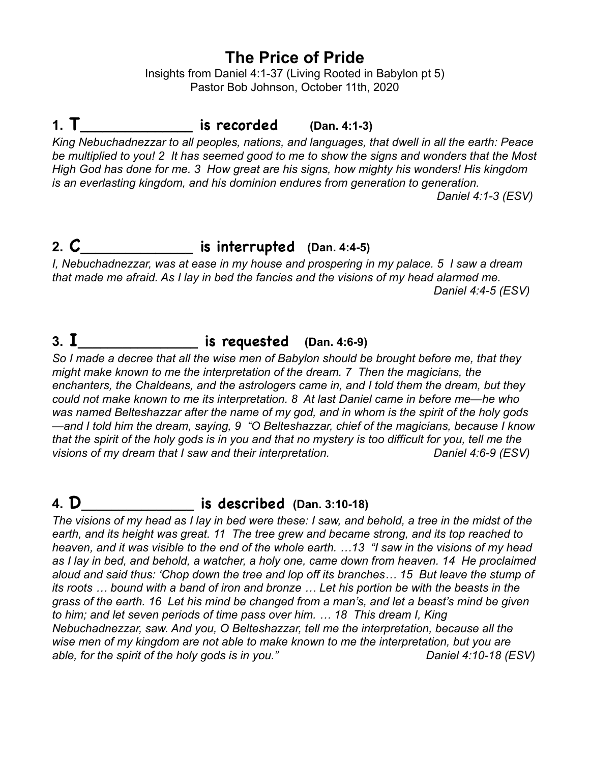## **The Price of Pride**

Insights from Daniel 4:1-37 (Living Rooted in Babylon pt 5) Pastor Bob Johnson, October 11th, 2020

## **1. T\_\_\_\_\_\_\_\_\_\_\_\_\_\_\_ is recorded (Dan. 4:1-3)**

*King Nebuchadnezzar to all peoples, nations, and languages, that dwell in all the earth: Peace be multiplied to you! 2 It has seemed good to me to show the signs and wonders that the Most High God has done for me. 3 How great are his signs, how mighty his wonders! His kingdom is an everlasting kingdom, and his dominion endures from generation to generation.* 

 *Daniel 4:1-3 (ESV)* 

## **2. C\_\_\_\_\_\_\_\_\_\_\_\_\_\_\_ is interrupted (Dan. 4:4-5)**

*I, Nebuchadnezzar, was at ease in my house and prospering in my palace. 5 I saw a dream that made me afraid. As I lay in bed the fancies and the visions of my head alarmed me. Daniel 4:4-5 (ESV)* 

# **3. I\_\_\_\_\_\_\_\_\_\_\_\_\_\_\_\_ is requested (Dan. 4:6-9)**

*So I made a decree that all the wise men of Babylon should be brought before me, that they might make known to me the interpretation of the dream. 7 Then the magicians, the enchanters, the Chaldeans, and the astrologers came in, and I told them the dream, but they could not make known to me its interpretation. 8 At last Daniel came in before me—he who was named Belteshazzar after the name of my god, and in whom is the spirit of the holy gods —and I told him the dream, saying, 9 "O Belteshazzar, chief of the magicians, because I know that the spirit of the holy gods is in you and that no mystery is too difficult for you, tell me the visions of my dream that I saw and their interpretation. Daniel 4:6-9 (ESV)* 

## **4. D\_\_\_\_\_\_\_\_\_\_\_\_\_\_\_ is described (Dan. 3:10-18)**

*The visions of my head as I lay in bed were these: I saw, and behold, a tree in the midst of the earth, and its height was great. 11 The tree grew and became strong, and its top reached to heaven, and it was visible to the end of the whole earth. …13 "I saw in the visions of my head as I lay in bed, and behold, a watcher, a holy one, came down from heaven. 14 He proclaimed aloud and said thus: 'Chop down the tree and lop off its branches… 15 But leave the stump of its roots … bound with a band of iron and bronze … Let his portion be with the beasts in the grass of the earth. 16 Let his mind be changed from a man's, and let a beast's mind be given to him; and let seven periods of time pass over him. … 18 This dream I, King Nebuchadnezzar, saw. And you, O Belteshazzar, tell me the interpretation, because all the wise men of my kingdom are not able to make known to me the interpretation, but you are able, for the spirit of the holy gods is in you." Daniel 4:10-18 (ESV)*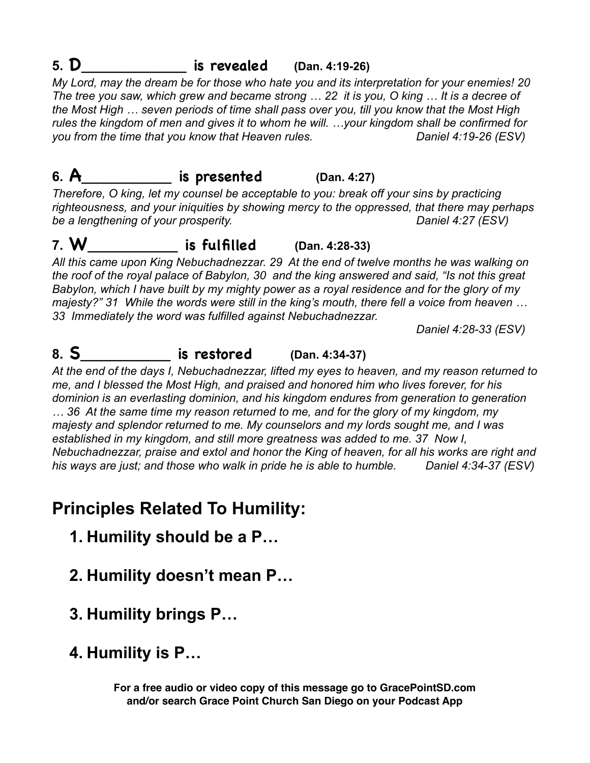# **5. D\_\_\_\_\_\_\_\_\_\_\_\_\_\_ is revealed (Dan. 4:19-26)**

*My Lord, may the dream be for those who hate you and its interpretation for your enemies! 20 The tree you saw, which grew and became strong … 22 it is you, O king … It is a decree of the Most High … seven periods of time shall pass over you, till you know that the Most High rules the kingdom of men and gives it to whom he will. …your kingdom shall be confirmed for you from the time that you know that Heaven rules. Daniel 4:19-26 (ESV)* 

# **6. A\_\_\_\_\_\_\_\_\_\_\_\_ is presented (Dan. 4:27)**

*Therefore, O king, let my counsel be acceptable to you: break off your sins by practicing righteousness, and your iniquities by showing mercy to the oppressed, that there may perhaps*  be a lengthening of your prosperity. The same of the same of the same of the same of the same of the same of the same of the same of the same of the same of the same of the same of the same of the same of the same of the s

## **7. W\_\_\_\_\_\_\_\_\_\_\_\_ is fulfilled (Dan. 4:28-33)**

*All this came upon King Nebuchadnezzar. 29 At the end of twelve months he was walking on the roof of the royal palace of Babylon, 30 and the king answered and said, "Is not this great Babylon, which I have built by my mighty power as a royal residence and for the glory of my majesty?" 31 While the words were still in the king's mouth, there fell a voice from heaven … 33 Immediately the word was fulfilled against Nebuchadnezzar.* 

 *Daniel 4:28-33 (ESV)* 

# **8. S\_\_\_\_\_\_\_\_\_\_\_\_ is restored (Dan. 4:34-37)**

*At the end of the days I, Nebuchadnezzar, lifted my eyes to heaven, and my reason returned to me, and I blessed the Most High, and praised and honored him who lives forever, for his dominion is an everlasting dominion, and his kingdom endures from generation to generation … 36 At the same time my reason returned to me, and for the glory of my kingdom, my majesty and splendor returned to me. My counselors and my lords sought me, and I was established in my kingdom, and still more greatness was added to me. 37 Now I, Nebuchadnezzar, praise and extol and honor the King of heaven, for all his works are right and his ways are just; and those who walk in pride he is able to humble. Daniel 4:34-37 (ESV)* 

# **Principles Related To Humility:**

- **1. Humility should be a P…**
- **2. Humility doesn't mean P…**
- **3. Humility brings P…**
- **4. Humility is P…**

**For a free audio or video copy of this message go to GracePointSD.com and/or search Grace Point Church San Diego on your Podcast App**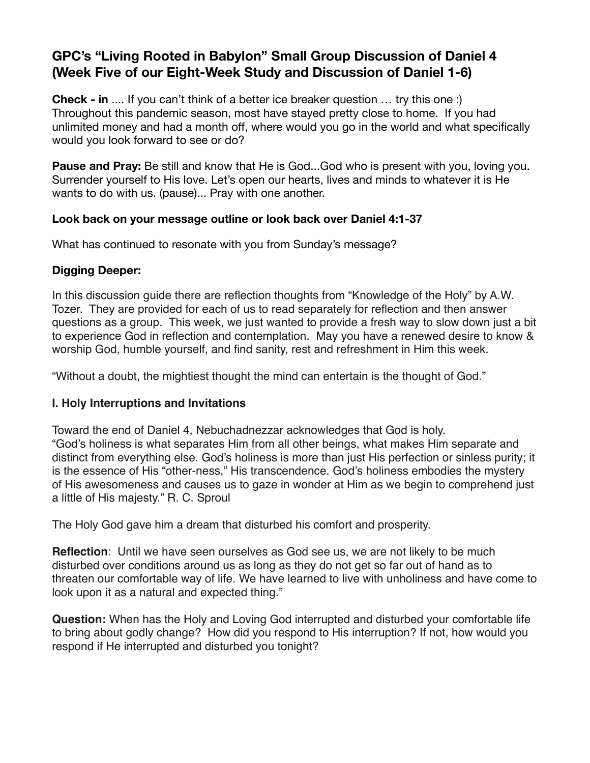## **GPC's "Living Rooted in Babylon" Small Group Discussion of Daniel 4 (Week Five of our Eight-Week Study and Discussion of Daniel 1-6)**

**Check - in** .... If you can't think of a better ice breaker question … try this one :) Throughout this pandemic season, most have stayed pretty close to home. If you had unlimited money and had a month off, where would you go in the world and what specifically would you look forward to see or do?

**Pause and Pray:** Be still and know that He is God...God who is present with you, loving you. Surrender yourself to His love. Let's open our hearts, lives and minds to whatever it is He wants to do with us. (pause)... Pray with one another.

### **Look back on your message outline or look back over Daniel 4:1-37**

What has continued to resonate with you from Sunday's message?

## **Digging Deeper:**

In this discussion guide there are reflection thoughts from "Knowledge of the Holy" by A.W. Tozer. They are provided for each of us to read separately for reflection and then answer questions as a group. This week, we just wanted to provide a fresh way to slow down just a bit to experience God in reflection and contemplation. May you have a renewed desire to know & worship God, humble yourself, and find sanity, rest and refreshment in Him this week.

"Without a doubt, the mightiest thought the mind can entertain is the thought of God."

## **I. Holy Interruptions and Invitations**

Toward the end of Daniel 4, Nebuchadnezzar acknowledges that God is holy. "God's holiness is what separates Him from all other beings, what makes Him separate and distinct from everything else. God's holiness is more than just His perfection or sinless purity; it is the essence of His "other-ness," His transcendence. God's holiness embodies the mystery of His awesomeness and causes us to gaze in wonder at Him as we begin to comprehend just a little of His majesty." R. C. Sproul

The Holy God gave him a dream that disturbed his comfort and prosperity.

**Reflection**: Until we have seen ourselves as God see us, we are not likely to be much disturbed over conditions around us as long as they do not get so far out of hand as to threaten our comfortable way of life. We have learned to live with unholiness and have come to look upon it as a natural and expected thing."

**Question:** When has the Holy and Loving God interrupted and disturbed your comfortable life to bring about godly change? How did you respond to His interruption? If not, how would you respond if He interrupted and disturbed you tonight?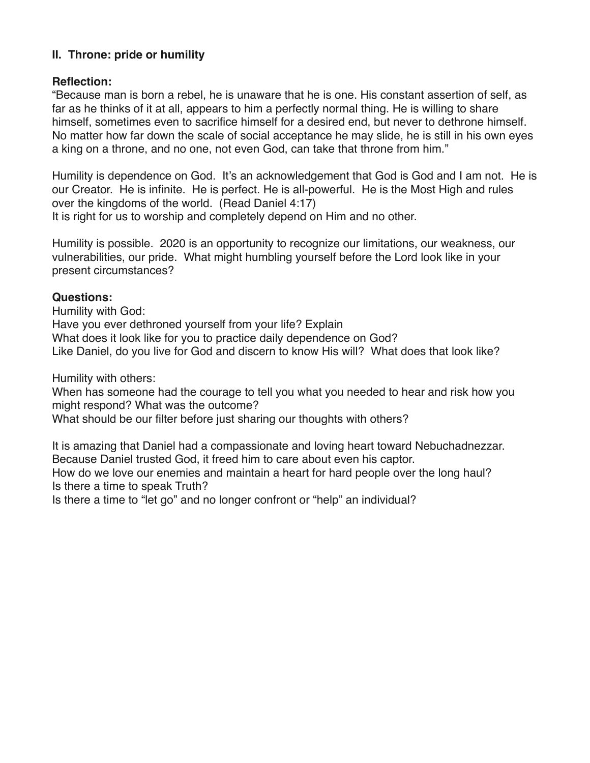### **II. Throne: pride or humility**

### **Reflection:**

"Because man is born a rebel, he is unaware that he is one. His constant assertion of self, as far as he thinks of it at all, appears to him a perfectly normal thing. He is willing to share himself, sometimes even to sacrifice himself for a desired end, but never to dethrone himself. No matter how far down the scale of social acceptance he may slide, he is still in his own eyes a king on a throne, and no one, not even God, can take that throne from him."

Humility is dependence on God. It's an acknowledgement that God is God and I am not. He is our Creator. He is infinite. He is perfect. He is all-powerful. He is the Most High and rules over the kingdoms of the world. (Read Daniel 4:17)

It is right for us to worship and completely depend on Him and no other.

Humility is possible. 2020 is an opportunity to recognize our limitations, our weakness, our vulnerabilities, our pride. What might humbling yourself before the Lord look like in your present circumstances?

### **Questions:**

Humility with God: Have you ever dethroned yourself from your life? Explain What does it look like for you to practice daily dependence on God? Like Daniel, do you live for God and discern to know His will? What does that look like?

Humility with others:

When has someone had the courage to tell you what you needed to hear and risk how you might respond? What was the outcome?

What should be our filter before just sharing our thoughts with others?

It is amazing that Daniel had a compassionate and loving heart toward Nebuchadnezzar. Because Daniel trusted God, it freed him to care about even his captor. How do we love our enemies and maintain a heart for hard people over the long haul? Is there a time to speak Truth? Is there a time to "let go" and no longer confront or "help" an individual?